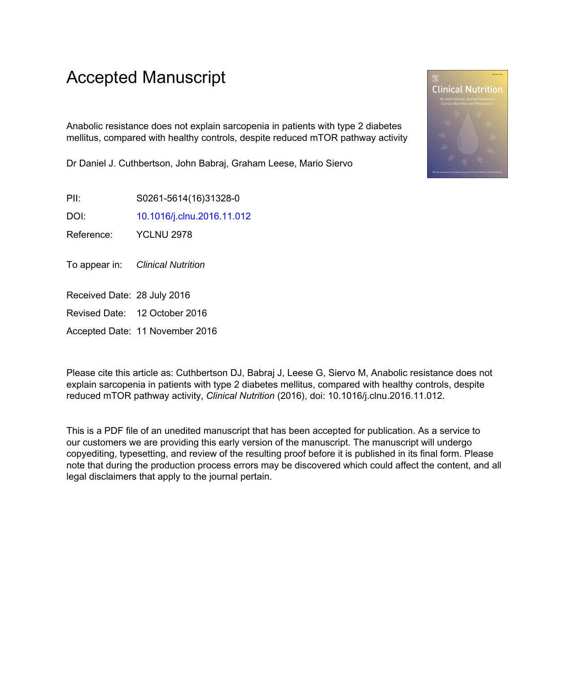# Accepted Manuscript

Anabolic resistance does not explain sarcopenia in patients with type 2 diabetes mellitus, compared with healthy controls, despite reduced mTOR pathway activity

Dr Daniel J. Cuthbertson, John Babraj, Graham Leese, Mario Siervo

PII: S0261-5614(16)31328-0

DOI: [10.1016/j.clnu.2016.11.012](http://dx.doi.org/10.1016/j.clnu.2016.11.012)

Reference: YCLNU 2978

To appear in: Clinical Nutrition

Received Date: 28 July 2016

Revised Date: 12 October 2016

Accepted Date: 11 November 2016

Please cite this article as: Cuthbertson DJ, Babraj J, Leese G, Siervo M, Anabolic resistance does not explain sarcopenia in patients with type 2 diabetes mellitus, compared with healthy controls, despite reduced mTOR pathway activity, *Clinical Nutrition* (2016), doi: 10.1016/j.clnu.2016.11.012.

This is a PDF file of an unedited manuscript that has been accepted for publication. As a service to our customers we are providing this early version of the manuscript. The manuscript will undergo copyediting, typesetting, and review of the resulting proof before it is published in its final form. Please note that during the production process errors may be discovered which could affect the content, and all legal disclaimers that apply to the journal pertain.

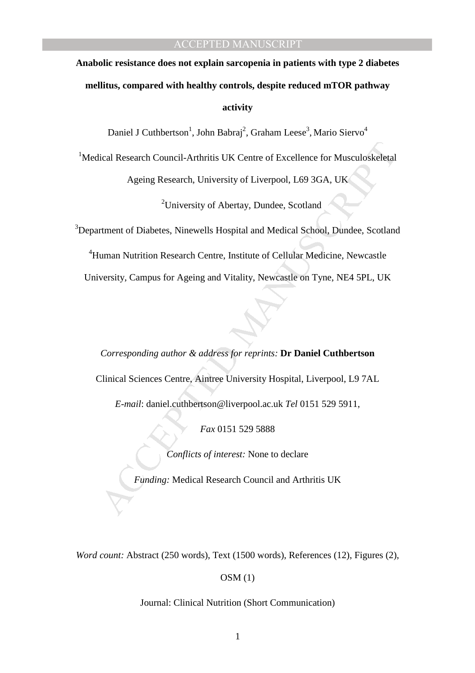# **Anabolic resistance does not explain sarcopenia in patients with type 2 diabetes mellitus, compared with healthy controls, despite reduced mTOR pathway activity**

Daniel J Cuthbertson<sup>1</sup>, John Babraj<sup>2</sup>, Graham Leese<sup>3</sup>, Mario Siervo<sup>4</sup>

 $1$ Medical Research Council-Arthritis UK Centre of Excellence for Musculoskeletal

Ageing Research, University of Liverpool, L69 3GA, UK

<sup>2</sup>University of Abertay, Dundee, Scotland

<sup>3</sup>Department of Diabetes, Ninewells Hospital and Medical School, Dundee, Scotland

<sup>4</sup>Human Nutrition Research Centre, Institute of Cellular Medicine, Newcastle University, Campus for Ageing and Vitality, Newcastle on Tyne, NE4 5PL, UK

ical Research Council-Arthritis UK Centre of Excellence for Musculoskeletal<br>
Ageing Research, University of Liverpool, L69 3GA, UK<br>
<sup>2</sup>University of Abertay, Dundee, Scotland<br>
rtment of Diabetes, Ninewells Hospital and Me *Corresponding author & address for reprints:* **Dr Daniel Cuthbertson**  Clinical Sciences Centre, Aintree University Hospital, Liverpool, L9 7AL

*E-mail*: daniel.cuthbertson@liverpool.ac.uk *Tel* 0151 529 5911,

*Fax* 0151 529 5888

*Conflicts of interest:* None to declare

*Funding:* Medical Research Council and Arthritis UK

*Word count: Abstract (250 words), Text (1500 words), References (12), Figures (2),* 

OSM (1)

Journal: Clinical Nutrition (Short Communication)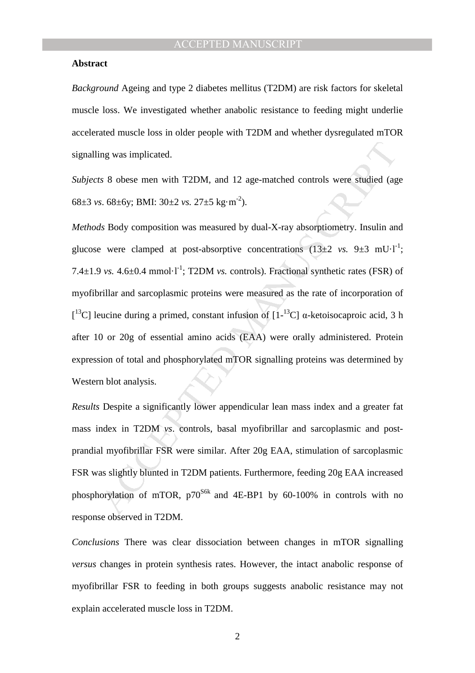#### **Abstract**

*Background* Ageing and type 2 diabetes mellitus (T2DM) are risk factors for skeletal muscle loss. We investigated whether anabolic resistance to feeding might underlie accelerated muscle loss in older people with T2DM and whether dysregulated mTOR signalling was implicated.

*Subjects* 8 obese men with T2DM, and 12 age-matched controls were studied (age 68±3 *vs*. 68±6y; BMI: 30±2 *vs.* 27±5 kg·m-2).

ing was implicated.<br>
to 8 obese men with T2DM, and 12 age-matched controls were studied (ag<br>
s. 68±6y; BMI: 30±2 vs. 27±5 kg·m<sup>2</sup>).<br> *M* Body composition was measured by dual-X-ray absorptiometry. Insulin an<br>
e were clamp *Methods* Body composition was measured by dual-X-ray absorptiometry. Insulin and glucose were clamped at post-absorptive concentrations  $(13\pm 2 \text{ vs. } 9\pm 3 \text{ mU·l}^{-1})$ ; 7.4 $\pm$ 1.9 *vs.* 4.6 $\pm$ 0.4 mmol·l<sup>-1</sup>; T2DM *vs.* controls). Fractional synthetic rates (FSR) of myofibrillar and sarcoplasmic proteins were measured as the rate of incorporation of <sup>[13</sup>C] leucine during a primed, constant infusion of [1-<sup>13</sup>C] α-ketoisocaproic acid, 3 h after 10 or 20g of essential amino acids (EAA) were orally administered. Protein expression of total and phosphorylated mTOR signalling proteins was determined by Western blot analysis.

*Results* Despite a significantly lower appendicular lean mass index and a greater fat mass index in T2DM *vs*. controls, basal myofibrillar and sarcoplasmic and postprandial myofibrillar FSR were similar. After 20g EAA, stimulation of sarcoplasmic FSR was slightly blunted in T2DM patients. Furthermore, feeding 20g EAA increased phosphorylation of mTOR,  $p70^{86k}$  and 4E-BP1 by 60-100% in controls with no response observed in T2DM.

*Conclusions* There was clear dissociation between changes in mTOR signalling *versus* changes in protein synthesis rates. However, the intact anabolic response of myofibrillar FSR to feeding in both groups suggests anabolic resistance may not explain accelerated muscle loss in T2DM.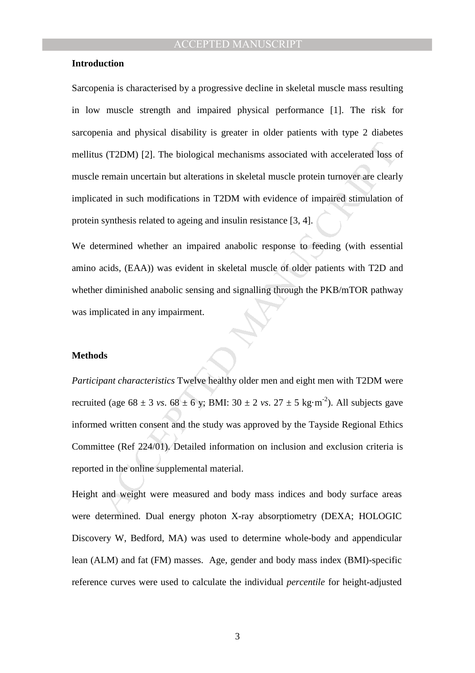#### **Introduction**

Sarcopenia is characterised by a progressive decline in skeletal muscle mass resulting in low muscle strength and impaired physical performance [1]. The risk for sarcopenia and physical disability is greater in older patients with type 2 diabetes mellitus (T2DM) [2]. The biological mechanisms associated with accelerated loss of muscle remain uncertain but alterations in skeletal muscle protein turnover are clearly implicated in such modifications in T2DM with evidence of impaired stimulation of protein synthesis related to ageing and insulin resistance [3, 4].

We determined whether an impaired anabolic response to feeding (with essential amino acids, (EAA)) was evident in skeletal muscle of older patients with T2D and whether diminished anabolic sensing and signalling through the PKB/mTOR pathway was implicated in any impairment.

#### **Methods**

s (T2DM) [2]. The biological mechanisms associated with accelerated loss cremain uncertain but alterations in skeletal muscle protein turnover are clearly remain uncertain but alterations in T2DM with evidence of impaired *Participant characteristics* Twelve healthy older men and eight men with T2DM were recruited (age  $68 \pm 3$  *vs*.  $68 \pm 6$  *y*; BMI:  $30 \pm 2$  *vs*.  $27 \pm 5$  kg·m<sup>-2</sup>). All subjects gave informed written consent and the study was approved by the Tayside Regional Ethics Committee (Ref 224/01). Detailed information on inclusion and exclusion criteria is reported in the online supplemental material.

Height and weight were measured and body mass indices and body surface areas were determined. Dual energy photon X-ray absorptiometry (DEXA; HOLOGIC Discovery W, Bedford, MA) was used to determine whole-body and appendicular lean (ALM) and fat (FM) masses. Age, gender and body mass index (BMI)-specific reference curves were used to calculate the individual *percentile* for height-adjusted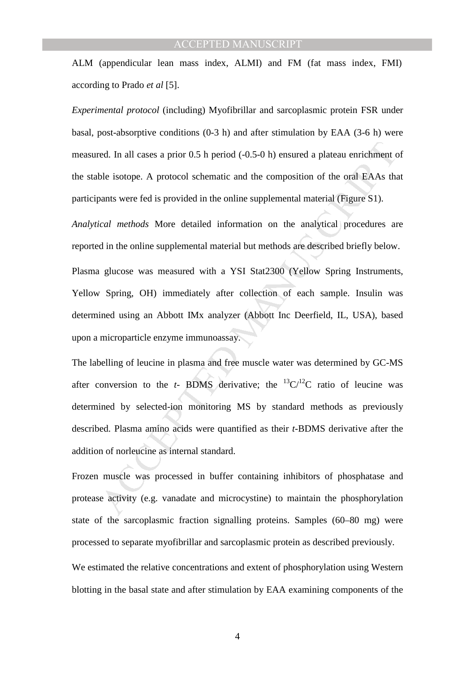ALM (appendicular lean mass index, ALMI) and FM (fat mass index, FMI) according to Prado *et al* [5].

*Experimental protocol* (including) Myofibrillar and sarcoplasmic protein FSR under basal, post-absorptive conditions  $(0-3 h)$  and after stimulation by EAA  $(3-6 h)$  were measured. In all cases a prior 0.5 h period (-0.5-0 h) ensured a plateau enrichment of the stable isotope. A protocol schematic and the composition of the oral EAAs that participants were fed is provided in the online supplemental material (Figure S1).

*Analytical methods* More detailed information on the analytical procedures are reported in the online supplemental material but methods are described briefly below.

Plasma glucose was measured with a YSI Stat2300 (Yellow Spring Instruments, Yellow Spring, OH) immediately after collection of each sample. Insulin was determined using an Abbott IMx analyzer (Abbott Inc Deerfield, IL, USA), based upon a microparticle enzyme immunoassay.

ed. In all cases a prior 0.5 h period (-0.5-0 h) ensured a plateau enrichment che isotope. A protocol schematic and the composition of the oral EAAs than ble isotope. A protocol schematic and the composition of the oral E The labelling of leucine in plasma and free muscle water was determined by GC-MS after conversion to the  $t$ - BDMS derivative; the  ${}^{13}C/{}^{12}C$  ratio of leucine was determined by selected-ion monitoring MS by standard methods as previously described. Plasma amino acids were quantified as their *t*-BDMS derivative after the addition of norleucine as internal standard.

Frozen muscle was processed in buffer containing inhibitors of phosphatase and protease activity (e.g. vanadate and microcystine) to maintain the phosphorylation state of the sarcoplasmic fraction signalling proteins. Samples (60–80 mg) were processed to separate myofibrillar and sarcoplasmic protein as described previously.

We estimated the relative concentrations and extent of phosphorylation using Western blotting in the basal state and after stimulation by EAA examining components of the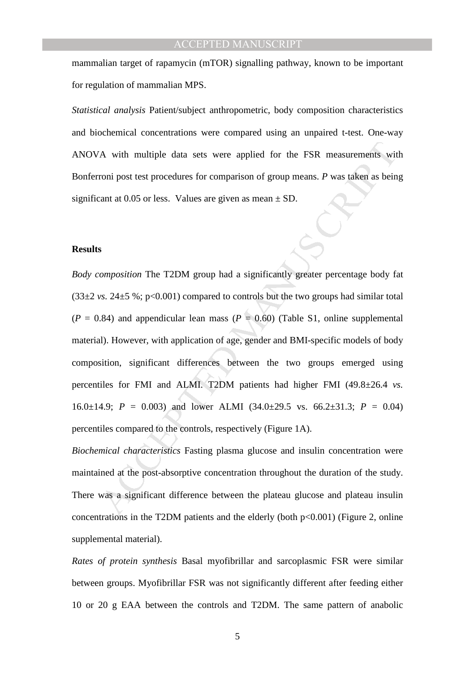mammalian target of rapamycin (mTOR) signalling pathway, known to be important for regulation of mammalian MPS.

*Statistical analysis* Patient/subject anthropometric, body composition characteristics and biochemical concentrations were compared using an unpaired t-test. One-way ANOVA with multiple data sets were applied for the FSR measurements with Bonferroni post test procedures for comparison of group means. *P* was taken as being significant at 0.05 or less. Values are given as mean  $\pm$  SD.

#### **Results**

A with multiple data sets were applied for the FSR measurements wir<br>roni post test procedures for comparison of group means. P was taken as bein<br>can at 0.05 or less. Values are given as mean ± SD.<br>S<br>S<br>Moreover, with appli *Body composition* The T2DM group had a significantly greater percentage body fat  $(33\pm2 \text{ vs. } 24\pm5 \text{ %}; \text{p} < 0.001)$  compared to controls but the two groups had similar total  $(P = 0.84)$  and appendicular lean mass  $(P = 0.60)$  (Table S1, online supplemental material). However, with application of age, gender and BMI-specific models of body composition, significant differences between the two groups emerged using percentiles for FMI and ALMI. T2DM patients had higher FMI (49.8±26.4 *vs.* 16.0 $\pm$ 14.9; *P* = 0.003) and lower ALMI (34.0 $\pm$ 29.5 vs. 66.2 $\pm$ 31.3; *P* = 0.04) percentiles compared to the controls, respectively (Figure 1A).

*Biochemical characteristics* Fasting plasma glucose and insulin concentration were maintained at the post-absorptive concentration throughout the duration of the study. There was a significant difference between the plateau glucose and plateau insulin concentrations in the T2DM patients and the elderly (both  $p<0.001$ ) (Figure 2, online supplemental material).

*Rates of protein synthesis* Basal myofibrillar and sarcoplasmic FSR were similar between groups. Myofibrillar FSR was not significantly different after feeding either 10 or 20 g EAA between the controls and T2DM. The same pattern of anabolic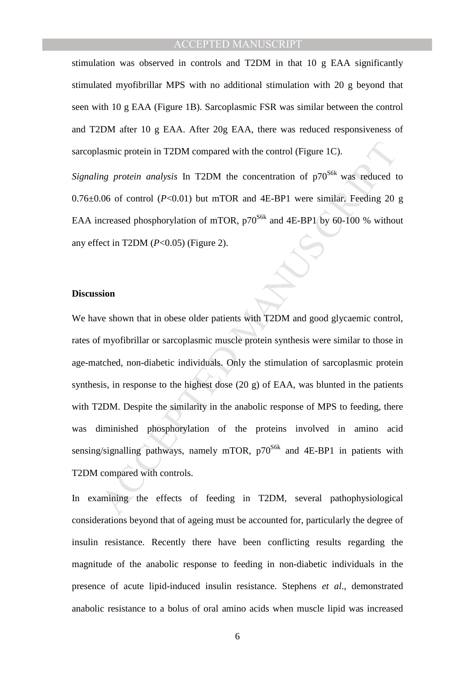stimulation was observed in controls and T2DM in that 10 g EAA significantly stimulated myofibrillar MPS with no additional stimulation with 20 g beyond that seen with 10 g EAA (Figure 1B). Sarcoplasmic FSR was similar between the control and T2DM after 10 g EAA. After 20g EAA, there was reduced responsiveness of sarcoplasmic protein in T2DM compared with the control (Figure 1C).

*Signaling protein analysis* In T2DM the concentration of  $p70<sup>S6k</sup>$  was reduced to  $0.76\pm0.06$  of control ( $P<0.01$ ) but mTOR and  $4E-BP1$  were similar. Feeding 20 g EAA increased phosphorylation of mTOR,  $p70^{86k}$  and 4E-BP1 by 60-100 % without any effect in T2DM (*P*<0.05) (Figure 2).

#### **Discussion**

asmic protein in T2DM compared with the control (Figure 1C).<br>
May protein analysis In T2DM the concentration of  $p70^{80k}$  was reduced t<br>
.06 of control (P<0.01) but mTOR and 4E-BP1 were similar, Feeding 20<br>
ncreased phos We have shown that in obese older patients with T2DM and good glycaemic control, rates of myofibrillar or sarcoplasmic muscle protein synthesis were similar to those in age-matched, non-diabetic individuals. Only the stimulation of sarcoplasmic protein synthesis, in response to the highest dose (20 g) of EAA, was blunted in the patients with T2DM. Despite the similarity in the anabolic response of MPS to feeding, there was diminished phosphorylation of the proteins involved in amino acid sensing/signalling pathways, namely mTOR,  $p70^{S6k}$  and 4E-BP1 in patients with T2DM compared with controls.

In examining the effects of feeding in T2DM, several pathophysiological considerations beyond that of ageing must be accounted for, particularly the degree of insulin resistance. Recently there have been conflicting results regarding the magnitude of the anabolic response to feeding in non-diabetic individuals in the presence of acute lipid-induced insulin resistance. Stephens *et al*., demonstrated anabolic resistance to a bolus of oral amino acids when muscle lipid was increased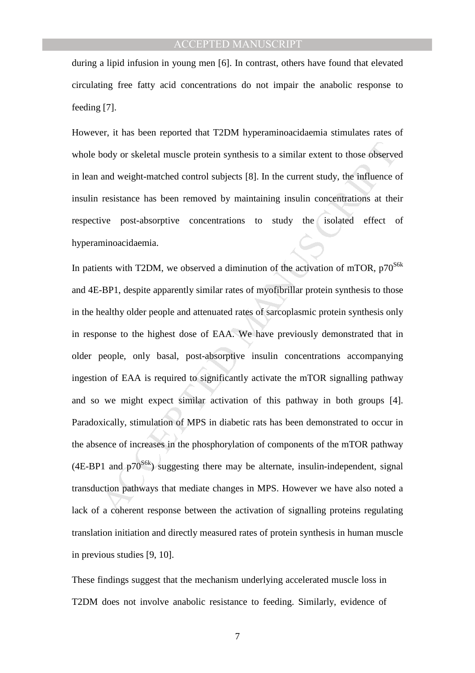during a lipid infusion in young men [6]. In contrast, others have found that elevated circulating free fatty acid concentrations do not impair the anabolic response to feeding [7].

However, it has been reported that T2DM hyperaminoacidaemia stimulates rates of whole body or skeletal muscle protein synthesis to a similar extent to those observed in lean and weight-matched control subjects [8]. In the current study, the influence of insulin resistance has been removed by maintaining insulin concentrations at their respective post-absorptive concentrations to study the isolated effect of hyperaminoacidaemia.

body or skeletal muscle protein synthesis to a similar extent to those observe<br>and weight-matched control subjects [8]. In the current study, the influence c<br>resistance has been removed by maintaining insulin concentratio In patients with T2DM, we observed a diminution of the activation of mTOR,  $p70^{86k}$ and 4E-BP1, despite apparently similar rates of myofibrillar protein synthesis to those in the healthy older people and attenuated rates of sarcoplasmic protein synthesis only in response to the highest dose of EAA. We have previously demonstrated that in older people, only basal, post-absorptive insulin concentrations accompanying ingestion of EAA is required to significantly activate the mTOR signalling pathway and so we might expect similar activation of this pathway in both groups [4]. Paradoxically, stimulation of MPS in diabetic rats has been demonstrated to occur in the absence of increases in the phosphorylation of components of the mTOR pathway  $(4E-BP1$  and  $p70^{S6k}$ ) suggesting there may be alternate, insulin-independent, signal transduction pathways that mediate changes in MPS. However we have also noted a lack of a coherent response between the activation of signalling proteins regulating translation initiation and directly measured rates of protein synthesis in human muscle in previous studies [9, 10].

These findings suggest that the mechanism underlying accelerated muscle loss in T2DM does not involve anabolic resistance to feeding. Similarly, evidence of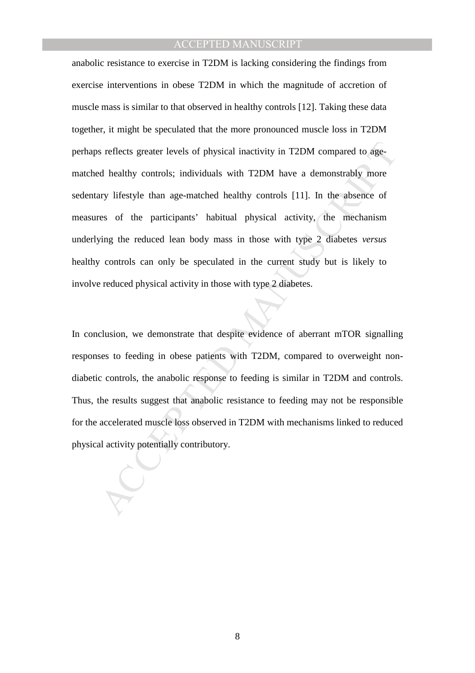is reflects greater levels of physical inactivity in T2DM compared to ageal healthy controls; individuals with T2DM have a demonstrably more with the despite than age-matched healthy controls [11]. In the absence of ess of anabolic resistance to exercise in T2DM is lacking considering the findings from exercise interventions in obese T2DM in which the magnitude of accretion of muscle mass is similar to that observed in healthy controls [12]. Taking these data together, it might be speculated that the more pronounced muscle loss in T2DM perhaps reflects greater levels of physical inactivity in T2DM compared to agematched healthy controls; individuals with T2DM have a demonstrably more sedentary lifestyle than age-matched healthy controls [11]. In the absence of measures of the participants' habitual physical activity, the mechanism underlying the reduced lean body mass in those with type 2 diabetes *versus* healthy controls can only be speculated in the current study but is likely to involve reduced physical activity in those with type 2 diabetes.

In conclusion, we demonstrate that despite evidence of aberrant mTOR signalling responses to feeding in obese patients with T2DM, compared to overweight nondiabetic controls, the anabolic response to feeding is similar in T2DM and controls. Thus, the results suggest that anabolic resistance to feeding may not be responsible for the accelerated muscle loss observed in T2DM with mechanisms linked to reduced physical activity potentially contributory.

8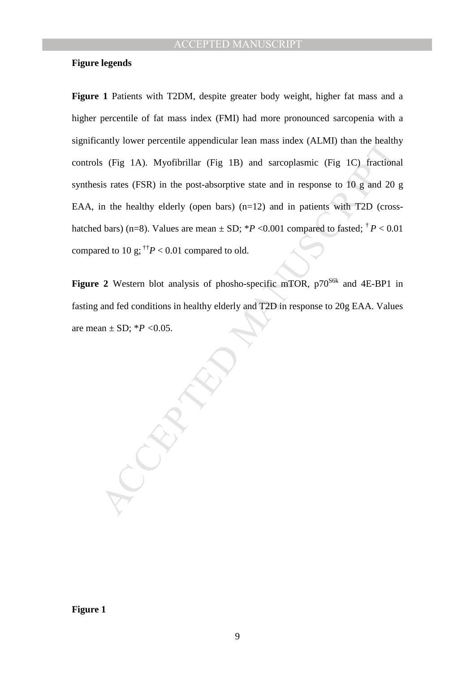#### **Figure legends**

Early lower percentile appendicular real mass noise. (VELWI) than the theath<br>s (Fig. 1A). Myofibrillar (Fig. 1B) and sarcoplasmic (Fig. 1C) fractions<br>is rates (FSR) in the post-absorptive state and in response to 10 g and Figure 1 Patients with T2DM, despite greater body weight, higher fat mass and a higher percentile of fat mass index (FMI) had more pronounced sarcopenia with a significantly lower percentile appendicular lean mass index (ALMI) than the healthy controls (Fig 1A). Myofibrillar (Fig 1B) and sarcoplasmic (Fig 1C) fractional synthesis rates (FSR) in the post-absorptive state and in response to 10 g and 20 g EAA, in the healthy elderly (open bars)  $(n=12)$  and in patients with T2D (crosshatched bars) (n=8). Values are mean  $\pm$  SD; \**P* <0.001 compared to fasted;  $\frac{\dag}{T}P$  < 0.01 compared to 10 g;  $\mathsf{p}^+P$  < 0.01 compared to old.

**Figure 2** Western blot analysis of phosho-specific mTOR,  $p70^{86k}$  and  $4E-BP1$  in fasting and fed conditions in healthy elderly and T2D in response to 20g EAA. Values are mean ± SD; \**P <*0.05.

**Figure 1** 

9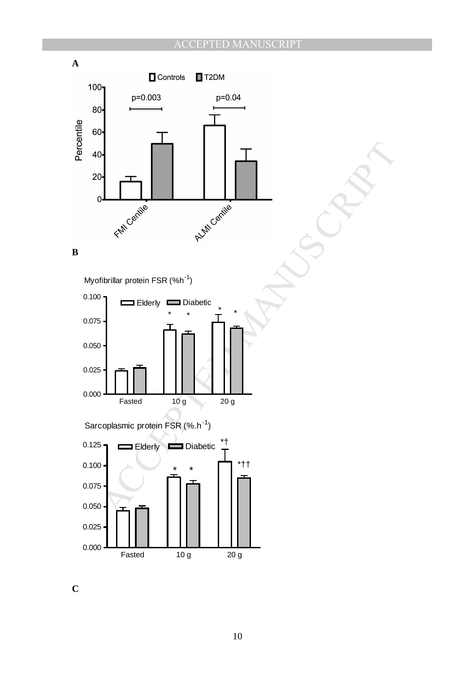# PTED MANUSCRIPT



**C**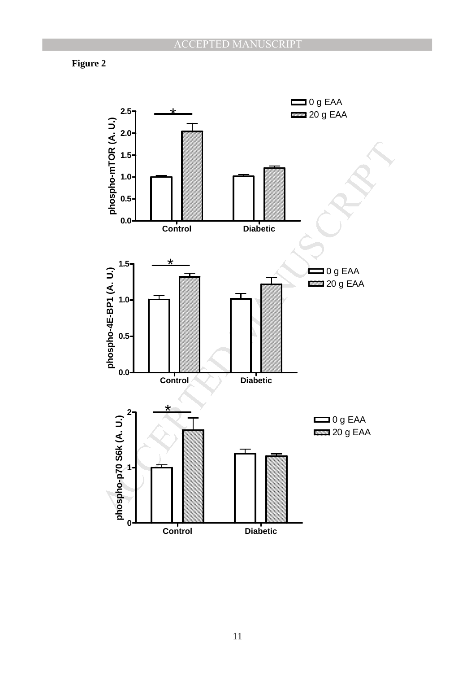# **Figure 2**